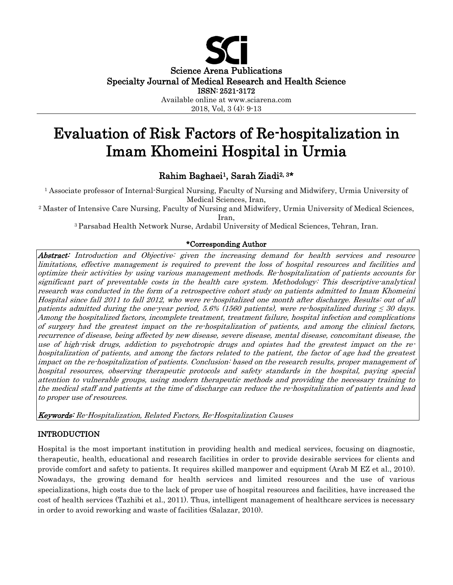

# Evaluation of Risk Factors of Re-hospitalization in Imam Khomeini Hospital in Urmia

# Rahim Baghaei1, Sarah Ziadi2, 3\*

<sup>1</sup> Associate professor of Internal-Surgical Nursing, Faculty of Nursing and Midwifery, Urmia University of Medical Sciences, Iran,

<sup>2</sup> Master of Intensive Care Nursing, Faculty of Nursing and Midwifery, Urmia University of Medical Sciences, Iran,

<sup>3</sup>Parsabad Health Network Nurse, Ardabil University of Medical Sciences, Tehran, Iran.

# \*Corresponding Author

Abstract: Introduction and Objective: given the increasing demand for health services and resource limitations, effective management is required to prevent the loss of hospital resources and facilities and optimize their activities by using various management methods. Re-hospitalization of patients accounts for significant part of preventable costs in the health care system. Methodology: This descriptive-analytical research was conducted in the form of a retrospective cohort study on patients admitted to Imam Khomeini Hospital since fall 2011 to fall 2012, who were re-hospitalized one month after discharge. Results: out of all patients admitted during the one-year period, 5.6% (1560 patients), were re-hospitalized during  $\leq$  30 days. Among the hospitalized factors, incomplete treatment, treatment failure, hospital infection and complications of surgery had the greatest impact on the re-hospitalization of patients, and among the clinical factors, recurrence of disease, being affected by new disease, severe disease, mental disease, concomitant disease, the use of high-risk drugs, addiction to psychotropic drugs and opiates had the greatest impact on the rehospitalization of patients, and among the factors related to the patient, the factor of age had the greatest impact on the re-hospitalization of patients. Conclusion: based on the research results, proper management of hospital resources, observing therapeutic protocols and safety standards in the hospital, paying special attention to vulnerable groups, using modern therapeutic methods and providing the necessary training to the medical staff and patients at the time of discharge can reduce the re-hospitalization of patients and lead to proper use of resources.

Keywords: Re-Hospitalization, Related Factors, Re-Hospitalization Causes

# INTRODUCTION

Hospital is the most important institution in providing health and medical services, focusing on diagnostic, therapeutic, health, educational and research facilities in order to provide desirable services for clients and provide comfort and safety to patients. It requires skilled manpower and equipment (Arab M EZ et al., 2010). Nowadays, the growing demand for health services and limited resources and the use of various specializations, high costs due to the lack of proper use of hospital resources and facilities, have increased the cost of health services (Tazhibi et al., 2011). Thus, intelligent management of healthcare services is necessary in order to avoid reworking and waste of facilities (Salazar, 2010).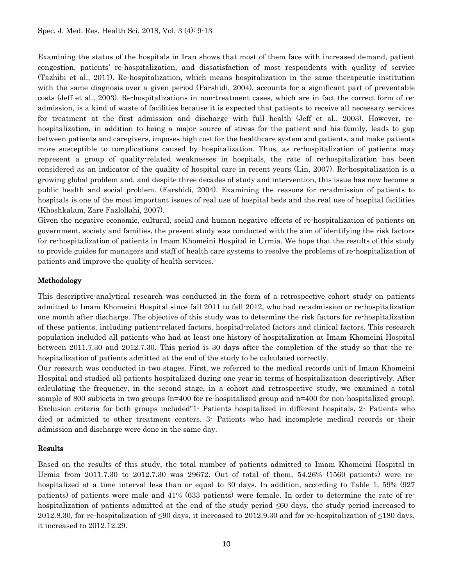Examining the status of the hospitals in Iran shows that most of them face with increased demand, patient congestion, patients' re-hospitalization, and dissatisfaction of most respondents with quality of service (Tazhibi et al., 2011). Re-hospitalization, which means hospitalization in the same therapeutic institution with the same diagnosis over a given period (Farshidi, 2004), accounts for a significant part of preventable costs (Jeff et al., 2003). Re-hospitalizations in non-treatment cases, which are in fact the correct form of readmission, is a kind of waste of facilities because it is expected that patients to receive all necessary services for treatment at the first admission and discharge with full health (Jeff et al., 2003). However, rehospitalization, in addition to being a major source of stress for the patient and his family, leads to gap between patients and caregivers, imposes high cost for the healthcare system and patients, and make patients more susceptible to complications caused by hospitalization. Thus, as re-hospitalization of patients may represent a group of quality-related weaknesses in hospitals, the rate of re-hospitalization has been considered as an indicator of the quality of hospital care in recent years (Lin, 2007). Re-hospitalization is a growing global problem and, and despite three decades of study and intervention, this issue has now become a public health and social problem. (Farshidi, 2004). Examining the reasons for re-admission of patients to hospitals is one of the most important issues of real use of hospital beds and the real use of hospital facilities (Khoshkalam, Zare Fazlollahi, 2007).

Given the negative economic, cultural, social and human negative effects of re-hospitalization of patients on government, society and families, the present study was conducted with the aim of identifying the risk factors for re-hospitalization of patients in Imam Khomeini Hospital in Urmia. We hope that the results of this study to provide guides for managers and staff of health care systems to resolve the problems of re-hospitalization of patients and improve the quality of health services.

# Methodology

This descriptive-analytical research was conducted in the form of a retrospective cohort study on patients admitted to Imam Khomeini Hospital since fall 2011 to fall 2012, who had re-admission or re-hospitalization one month after discharge. The objective of this study was to determine the risk factors for re-hospitalization of these patients, including patient-related factors, hospital-related factors and clinical factors. This research population included all patients who had at least one history of hospitalization at Imam Khomeini Hospital between 2011.7.30 and 2012.7.30. This period is 30 days after the completion of the study so that the rehospitalization of patients admitted at the end of the study to be calculated correctly.

Our research was conducted in two stages. First, we referred to the medical records unit of Imam Khomeini Hospital and studied all patients hospitalized during one year in terms of hospitalization descriptively. After calculating the frequency, in the second stage, in a cohort and retrospective study, we examined a total sample of 800 subjects in two groups (n=400 for re-hospitalized group and n=400 for non-hospitalized group). Exclusion criteria for both groups included"1- Patients hospitalized in different hospitals, 2- Patients who died or admitted to other treatment centers. 3- Patients who had incomplete medical records or their admission and discharge were done in the same day.

#### Results

Based on the results of this study, the total number of patients admitted to Imam Khomeini Hospital in Urmia from 2011.7.30 to 2012.7.30 was 29672. Out of total of them, 54.26% (1560 patients) were rehospitalized at a time interval less than or equal to 30 days. In addition, according to Table 1, 59% (927) patients) of patients were male and 41% (633 patients) were female. In order to determine the rate of rehospitalization of patients admitted at the end of the study period ≤60 days, the study period increased to 2012.8.30, for re-hospitalization of  $\leq 90$  days, it increased to 2012.9.30 and for re-hospitalization of  $\leq 180$  days, it increased to 2012.12.29.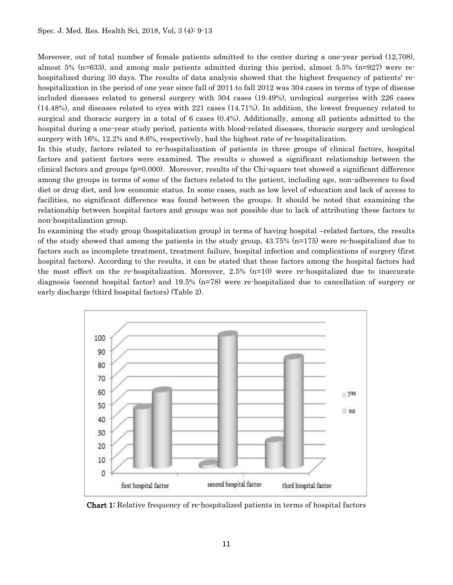Moreover, out of total number of female patients admitted to the center during a one-year period (12,708), almost 5% (n=633), and among male patients admitted during this period, almost 5.5% (n=927) were rehospitalized during 30 days. The results of data analysis showed that the highest frequency of patients' rehospitalization in the period of one year since fall of 2011 to fall 2012 was 304 cases in terms of type of disease included diseases related to general surgery with 304 cases (19.49%), urological surgeries with 226 cases (14.48%), and diseases related to eyes with 221 cases (14.71%). In addition, the lowest frequency related to surgical and thoracic surgery in a total of 6 cases (0.4%). Additionally, among all patients admitted to the hospital during a one-year study period, patients with blood-related diseases, thoracic surgery and urological surgery with 16%, 12.2% and 8.6%, respectively, had the highest rate of re-hospitalization.

In this study, factors related to re-hospitalization of patients in three groups of clinical factors, hospital factors and patient factors were examined. The results o showed a significant relationship between the clinical factors and groups (p=0.000). Moreover, results of the Chi-square test showed a significant difference among the groups in terms of some of the factors related to the patient, including age, non-adherence to food diet or drug diet, and low economic status. In some cases, such as low level of education and lack of access to facilities, no significant difference was found between the groups. It should be noted that examining the relationship between hospital factors and groups was not possible due to lack of attributing these factors to non-hospitalization group.

In examining the study group (hospitalization group) in terms of having hospital –related factors, the results of the study showed that among the patients in the study group,  $43.75\%$  (n=175) were re-hospitalized due to factors such as incomplete treatment, treatment failure, hospital infection and complications of surgery (first hospital factors). According to the results, it can be stated that these factors among the hospital factors had the most effect on the re-hospitalization. Moreover,  $2.5\%$  (n=10) were re-hospitalized due to inaccurate diagnosis (second hospital factor) and 19.5% (n=78) were re-hospitalized due to cancellation of surgery or early discharge (third hospital factors) (Table 2).



Chart 1: Relative frequency of re-hospitalized patients in terms of hospital factors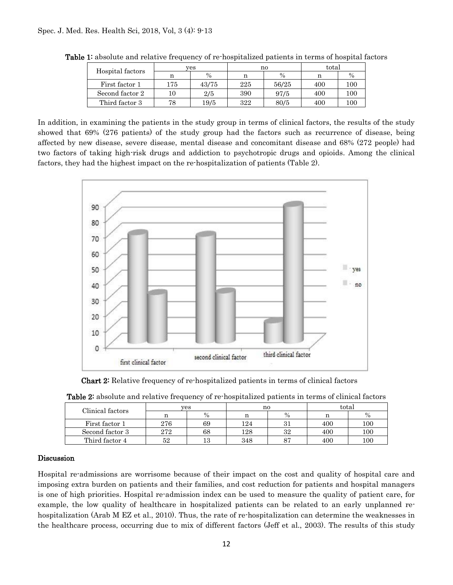| Hospital factors | ves |       | no  |               | total |               |
|------------------|-----|-------|-----|---------------|-------|---------------|
|                  | n   | $\%$  | n   | $\frac{0}{0}$ | n     | $\frac{0}{0}$ |
| First factor 1   | 175 | 43/75 | 225 | 56/25         | 400   | 100           |
| Second factor 2  |     | 2/5   | 390 | 97/5          | 400   | 100           |
| Third factor 3   | 78  | 19/5  | 322 | 80/5          | 400   | $100\,$       |

Table 1: absolute and relative frequency of re-hospitalized patients in terms of hospital factors

In addition, in examining the patients in the study group in terms of clinical factors, the results of the study showed that 69% (276 patients) of the study group had the factors such as recurrence of disease, being affected by new disease, severe disease, mental disease and concomitant disease and 68% (272 people) had two factors of taking high-risk drugs and addiction to psychotropic drugs and opioids. Among the clinical factors, they had the highest impact on the re-hospitalization of patients (Table 2).



**Chart 2:** Relative frequency of re-hospitalized patients in terms of clinical factors

| Clinical factors | ves |      | n0  |      | total |         |
|------------------|-----|------|-----|------|-------|---------|
|                  |     | $\%$ |     | $\%$ |       | $\%$    |
| First factor 1   | 276 | 69   | 124 | ., . | 400   | $100\,$ |
| Second factor 3  | 272 | 68   | 128 | 32   | 400   | $100\,$ |
| Third factor 4   | 52  | 13   | 348 |      | 400   | $100\,$ |

#### Discussion

Hospital re-admissions are worrisome because of their impact on the cost and quality of hospital care and imposing extra burden on patients and their families, and cost reduction for patients and hospital managers is one of high priorities. Hospital re-admission index can be used to measure the quality of patient care, for example, the low quality of healthcare in hospitalized patients can be related to an early unplanned rehospitalization (Arab M EZ et al., 2010). Thus, the rate of re-hospitalization can determine the weaknesses in the healthcare process, occurring due to mix of different factors (Jeff et al., 2003). The results of this study